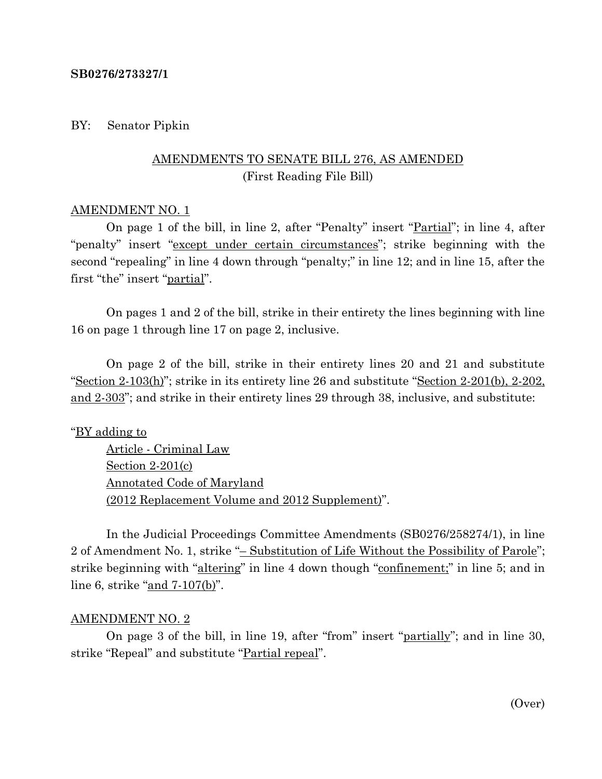#### **SB0276/273327/1**

## BY: Senator Pipkin

# AMENDMENTS TO SENATE BILL 276, AS AMENDED (First Reading File Bill)

#### AMENDMENT NO. 1

On page 1 of the bill, in line 2, after "Penalty" insert "Partial"; in line 4, after "penalty" insert "except under certain circumstances"; strike beginning with the second "repealing" in line 4 down through "penalty;" in line 12; and in line 15, after the first "the" insert "partial".

On pages 1 and 2 of the bill, strike in their entirety the lines beginning with line 16 on page 1 through line 17 on page 2, inclusive.

On page 2 of the bill, strike in their entirety lines 20 and 21 and substitute "Section 2-103(h)"; strike in its entirety line 26 and substitute "Section 2-201(b), 2-202, and 2-303"; and strike in their entirety lines 29 through 38, inclusive, and substitute:

## "BY adding to

Article - Criminal Law Section 2-201(c) Annotated Code of Maryland (2012 Replacement Volume and 2012 Supplement)".

In the Judicial Proceedings Committee Amendments (SB0276/258274/1), in line 2 of Amendment No. 1, strike "– Substitution of Life Without the Possibility of Parole"; strike beginning with "altering" in line 4 down though "confinement;" in line 5; and in line 6, strike "and 7-107(b)".

#### AMENDMENT NO. 2

On page 3 of the bill, in line 19, after "from" insert "partially"; and in line 30, strike "Repeal" and substitute "Partial repeal".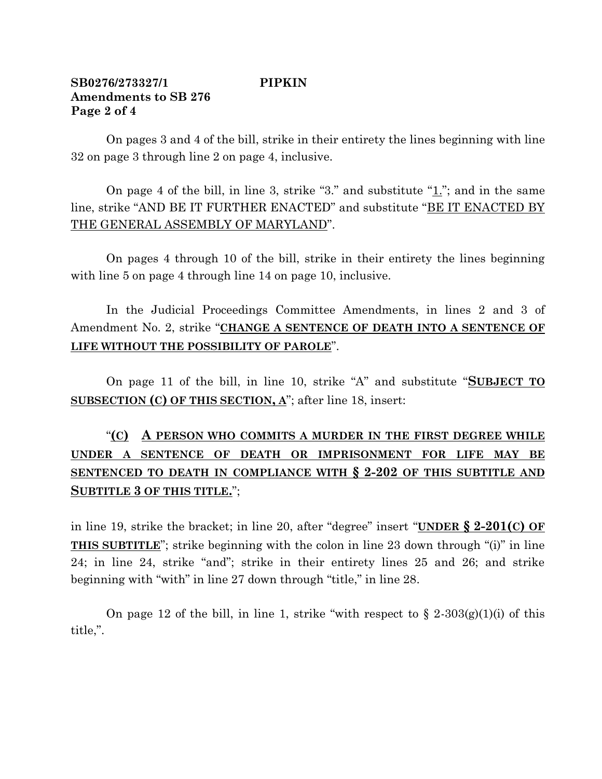# **SB0276/273327/1 PIPKIN Amendments to SB 276 Page 2 of 4**

On pages 3 and 4 of the bill, strike in their entirety the lines beginning with line 32 on page 3 through line 2 on page 4, inclusive.

On page 4 of the bill, in line 3, strike "3." and substitute "1."; and in the same line, strike "AND BE IT FURTHER ENACTED" and substitute "BE IT ENACTED BY THE GENERAL ASSEMBLY OF MARYLAND".

On pages 4 through 10 of the bill, strike in their entirety the lines beginning with line 5 on page 4 through line 14 on page 10, inclusive.

In the Judicial Proceedings Committee Amendments, in lines 2 and 3 of Amendment No. 2, strike "**CHANGE A SENTENCE OF DEATH INTO A SENTENCE OF LIFE WITHOUT THE POSSIBILITY OF PAROLE**".

On page 11 of the bill, in line 10, strike "A" and substitute "**SUBJECT TO SUBSECTION (C) OF THIS SECTION, A**"; after line 18, insert:

# "**(C) A PERSON WHO COMMITS A MURDER IN THE FIRST DEGREE WHILE UNDER A SENTENCE OF DEATH OR IMPRISONMENT FOR LIFE MAY BE SENTENCED TO DEATH IN COMPLIANCE WITH § 2-202 OF THIS SUBTITLE AND SUBTITLE 3 OF THIS TITLE.**";

in line 19, strike the bracket; in line 20, after "degree" insert "**UNDER § 2-201(C) OF THIS SUBTITLE**"; strike beginning with the colon in line 23 down through "(i)" in line 24; in line 24, strike "and"; strike in their entirety lines 25 and 26; and strike beginning with "with" in line 27 down through "title," in line 28.

On page 12 of the bill, in line 1, strike "with respect to  $\S 2-303(g)(1)(i)$  of this title,".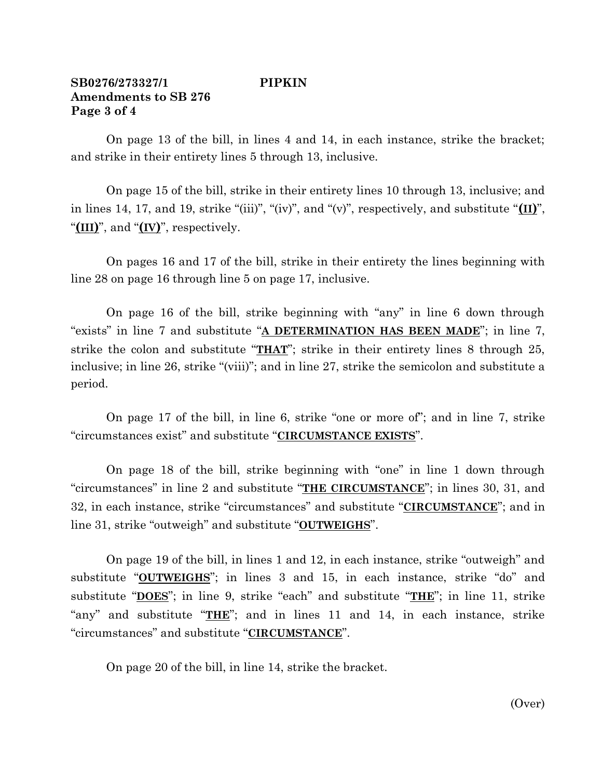# **SB0276/273327/1 PIPKIN Amendments to SB 276 Page 3 of 4**

On page 13 of the bill, in lines 4 and 14, in each instance, strike the bracket; and strike in their entirety lines 5 through 13, inclusive.

On page 15 of the bill, strike in their entirety lines 10 through 13, inclusive; and in lines 14, 17, and 19, strike "(iii)", "(iv)", and "(v)", respectively, and substitute "**(II)**", "**(III)**", and "**(IV)**", respectively.

On pages 16 and 17 of the bill, strike in their entirety the lines beginning with line 28 on page 16 through line 5 on page 17, inclusive.

On page 16 of the bill, strike beginning with "any" in line 6 down through "exists" in line 7 and substitute "**A DETERMINATION HAS BEEN MADE**"; in line 7, strike the colon and substitute "**THAT**"; strike in their entirety lines 8 through 25, inclusive; in line 26, strike "(viii)"; and in line 27, strike the semicolon and substitute a period.

On page 17 of the bill, in line 6, strike "one or more of"; and in line 7, strike "circumstances exist" and substitute "**CIRCUMSTANCE EXISTS**".

On page 18 of the bill, strike beginning with "one" in line 1 down through "circumstances" in line 2 and substitute "**THE CIRCUMSTANCE**"; in lines 30, 31, and 32, in each instance, strike "circumstances" and substitute "**CIRCUMSTANCE**"; and in line 31, strike "outweigh" and substitute "**OUTWEIGHS**".

On page 19 of the bill, in lines 1 and 12, in each instance, strike "outweigh" and substitute "**OUTWEIGHS**"; in lines 3 and 15, in each instance, strike "do" and substitute "**DOES**"; in line 9, strike "each" and substitute "**THE**"; in line 11, strike "any" and substitute "**THE**"; and in lines 11 and 14, in each instance, strike "circumstances" and substitute "**CIRCUMSTANCE**".

On page 20 of the bill, in line 14, strike the bracket.